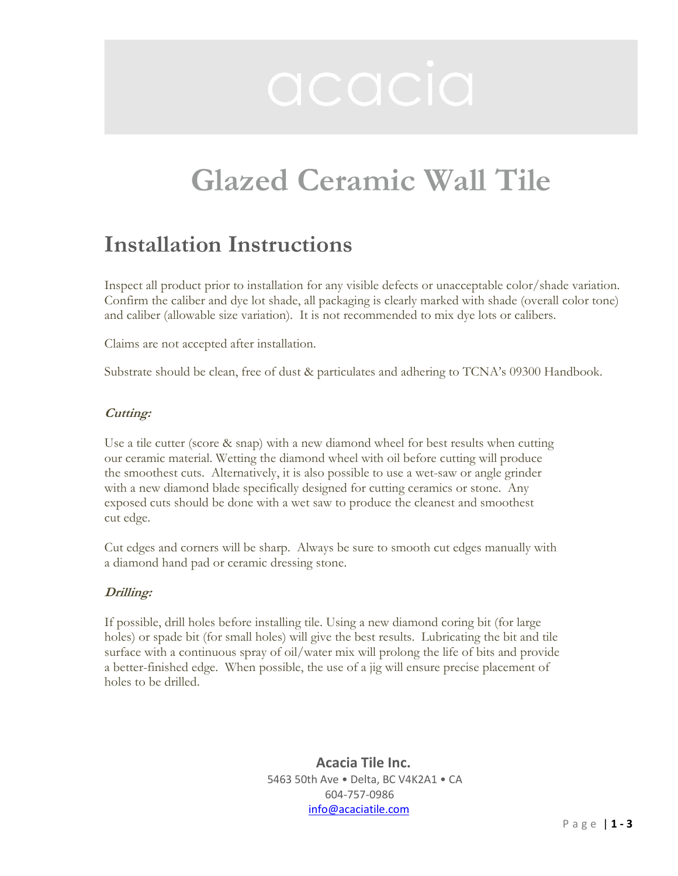# Glazed Ceramic Wall Tile

## Installation Instructions

Inspect all product prior to installation for any visible defects or unacceptable color/shade variation. Confirm the caliber and dye lot shade, all packaging is clearly marked with shade (overall color tone) and caliber (allowable size variation). It is not recommended to mix dye lots or calibers.

Claims are not accepted after installation.

Substrate should be clean, free of dust & particulates and adhering to TCNA's 09300 Handbook.

### Cutting:

Use a tile cutter (score & snap) with a new diamond wheel for best results when cutting our ceramic material. Wetting the diamond wheel with oil before cutting will produce the smoothest cuts. Alternatively, it is also possible to use a wet-saw or angle grinder with a new diamond blade specifically designed for cutting ceramics or stone. Any exposed cuts should be done with a wet saw to produce the cleanest and smoothest cut edge.

Cut edges and corners will be sharp. Always be sure to smooth cut edges manually with a diamond hand pad or ceramic dressing stone.

### Drilling:

If possible, drill holes before installing tile. Using a new diamond coring bit (for large holes) or spade bit (for small holes) will give the best results. Lubricating the bit and tile surface with a continuous spray of oil/water mix will prolong the life of bits and provide a better-finished edge. When possible, the use of a jig will ensure precise placement of holes to be drilled.

> Acacia Tile Inc. 5463 50th Ave • Delta, BC V4K2A1 • CA 604-757-0986 info@acaciatile.com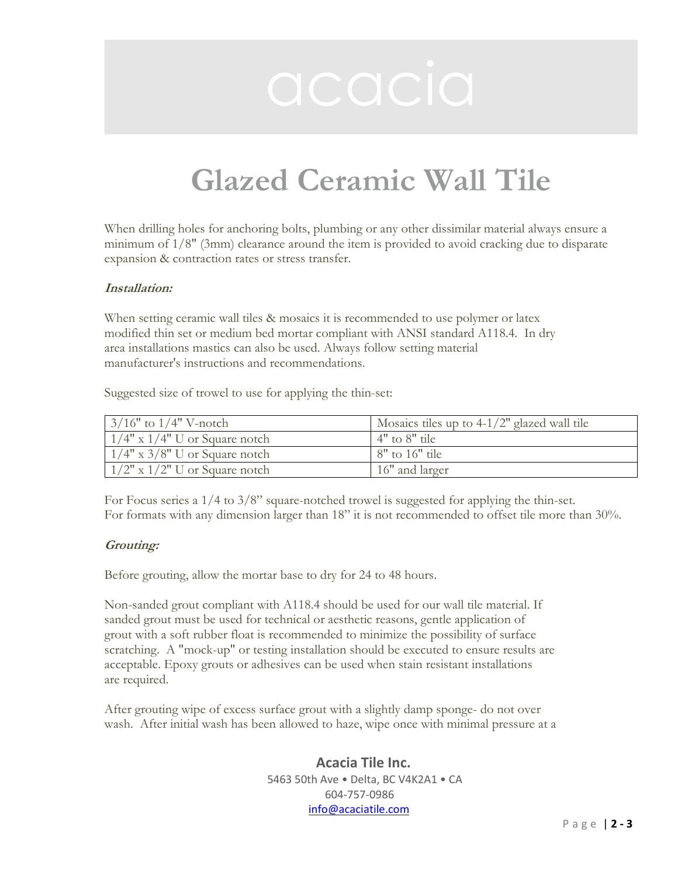# Glazed Ceramic Wall Tile

When drilling holes for anchoring bolts, plumbing or any other dissimilar material always ensure a minimum of 1/8" (3mm) clearance around the item is provided to avoid cracking due to disparate expansion & contraction rates or stress transfer.

### Installation:

When setting ceramic wall tiles & mosaics it is recommended to use polymer or latex modified thin set or medium bed mortar compliant with ANSI standard A118.4. In dry area installations mastics can also be used. Always follow setting material manufacturer's instructions and recommendations.

Suggested size of trowel to use for applying the thin-set:

| $3/16"$ to $1/4"$ V-notch           | Mosaics tiles up to $4-1/2$ " glazed wall tile |
|-------------------------------------|------------------------------------------------|
| $1/4$ " x $1/4$ " U or Square notch | $4"$ to $8"$ tile                              |
| $1/4$ " x 3/8" U or Square notch    | $8"$ to 16" tile                               |
| $1/2$ " x $1/2$ " U or Square notch | 16" and larger                                 |

For Focus series a 1/4 to 3/8" square-notched trowel is suggested for applying the thin-set. For formats with any dimension larger than 18" it is not recommended to offset tile more than 30%.

### Grouting:

Before grouting, allow the mortar base to dry for 24 to 48 hours.

Non-sanded grout compliant with A118.4 should be used for our wall tile material. If sanded grout must be used for technical or aesthetic reasons, gentle application of grout with a soft rubber float is recommended to minimize the possibility of surface scratching. A "mock-up" or testing installation should be executed to ensure results are acceptable. Epoxy grouts or adhesives can be used when stain resistant installations are required.

After grouting wipe of excess surface grout with a slightly damp sponge- do not over wash. After initial wash has been allowed to haze, wipe once with minimal pressure at a

> Acacia Tile Inc. 5463 50th Ave • Delta, BC V4K2A1 • CA 604-757-0986 info@acaciatile.com